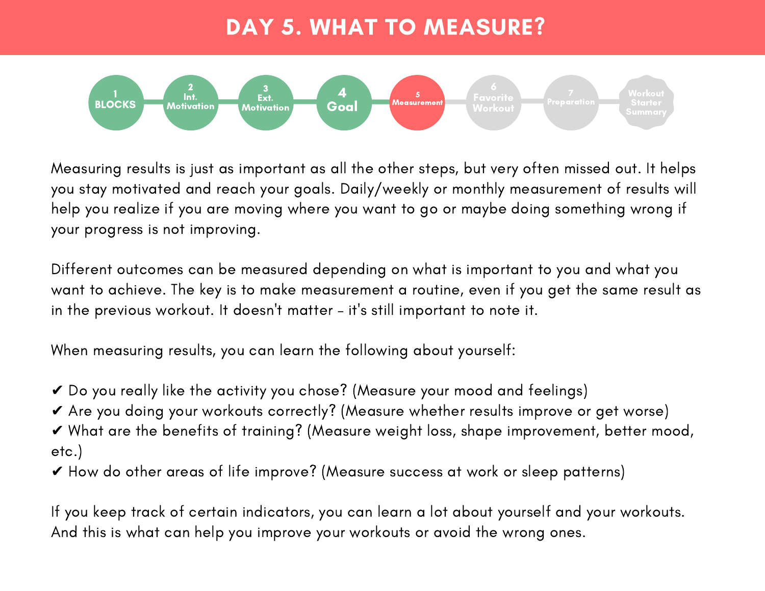## DAY 5. WHAT TO MEASURE?



Measuring results is just as important as all the other steps, but very often missed out. It helps you stay motivated and reach your goals. Daily/weekly or monthly measurement of results will help you realize if you are moving where you want to go or maybe doing something wrong if your progress is not improving.

Different outcomes can be measured depending on what is important to you and what you want to achieve. The key is to make measurement a routine, even if you get the same result as in the previous workout. It doesn't matter – it's still important to note it.

When measuring results, you can learn the following about yourself:

- ✔ Do you really like the activity you chose? (Measure your mood and feelings)
- ✔ Are you doing your workouts correctly? (Measure whether results improve or get worse)
- ✔ What are the benefits of training? (Measure weight loss, shape improvement, better mood, etc.)
- ✔ How do other areas of life improve? (Measure success at work or sleep patterns)

If you keep track of certain indicators, you can learn a lot about yourself and your workouts. And this is what can help you improve your workouts or avoid the wrong ones.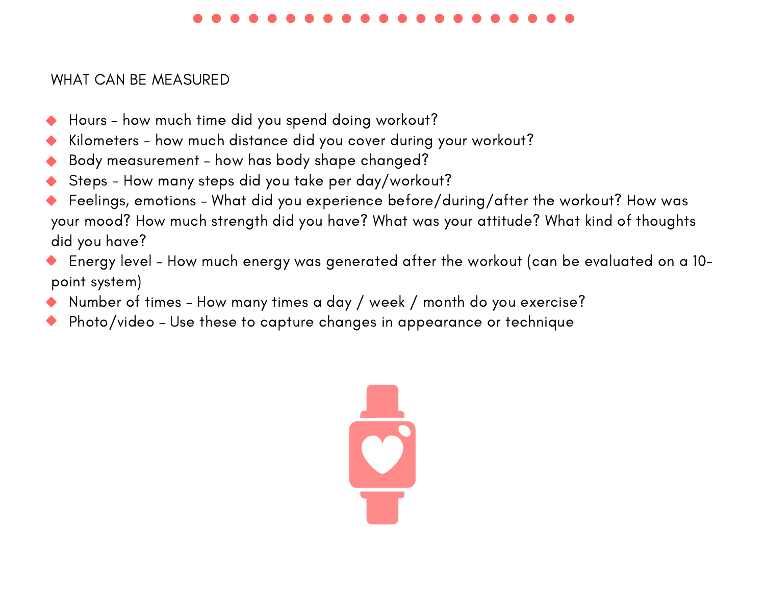## WHAT CAN BE MEASURED

- Hours how much time did you spend doing workout?
- Kilometers how much distance did you cover during your workout?
- Body measurement how has body shape changed?
- Steps How many steps did you take per day/workout?
- Feelings, emotions What did you experience before/during/after the workout? How was your mood? How much strength did you have? What was your attitude? What kind of thoughts did you have?
- Energy level How much energy was generated after the workout (can be evaluated on a 10 point system)
- Number of times How many times a day / week / month do you exercise?
- Photo/video Use these to capture changes in appearance or technique

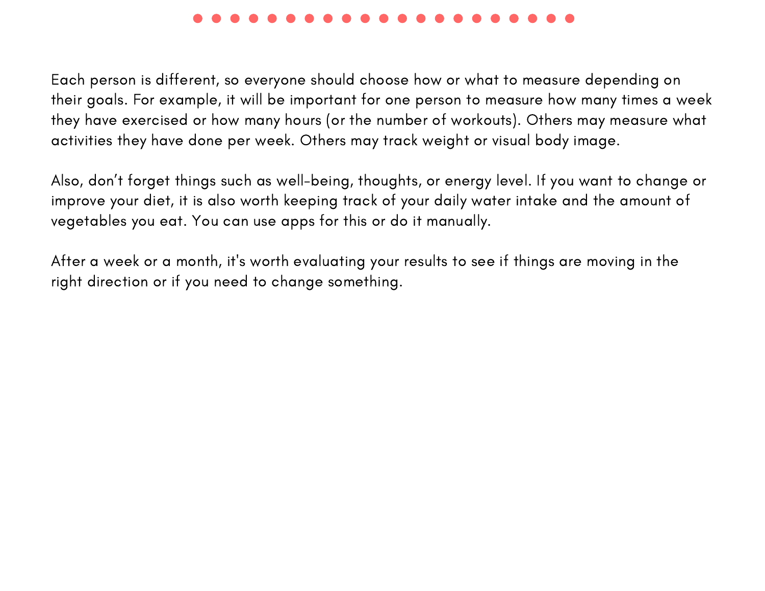Each person is different, so everyone should choose how or what to measure depending on their goals. For example, it will be important for one person to measure how many times a week they have exercised or how many hours (or the number of workouts). Others may measure what activities they have done per week. Others may track weight or visual body image.

Also, don't forget things such as well-being, thoughts, or energy level. If you want to change or improve your diet, it is also worth keeping track of your daily water intake and the amount of vegetables you eat. You can use apps for this or do it manually.

After a week or a month, it's worth evaluating your results to see if things are moving in the right direction or if you need to change something.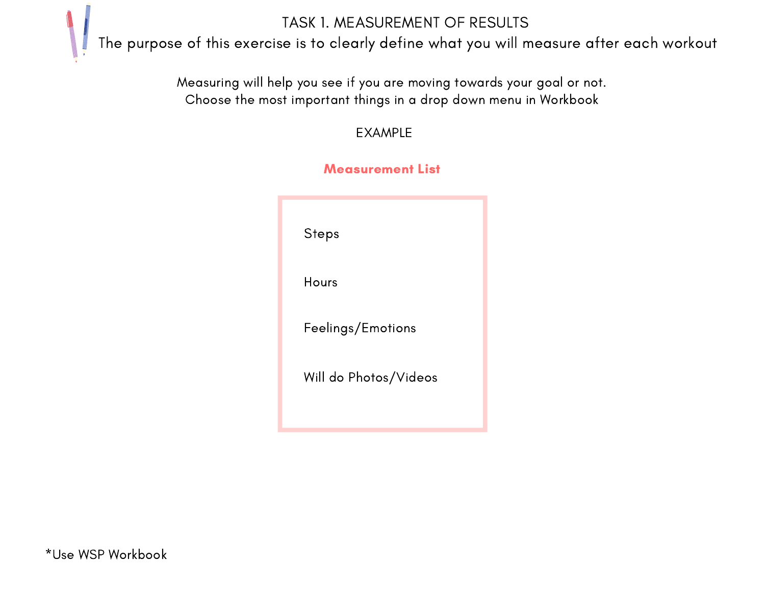TASK 1. MEASUREMENT OF RESULTS

The purpose of this exercise is to clearly define what you will measure after each workout

Measuring will help you see if you are moving towards your goal or not. Choose the most important things in a drop down menu in Workbook

EXAMPLE

| <b>Steps</b>          |  |
|-----------------------|--|
| Hours                 |  |
| Feelings/Emotions     |  |
| Will do Photos/Videos |  |
|                       |  |

## Mogeurament Liet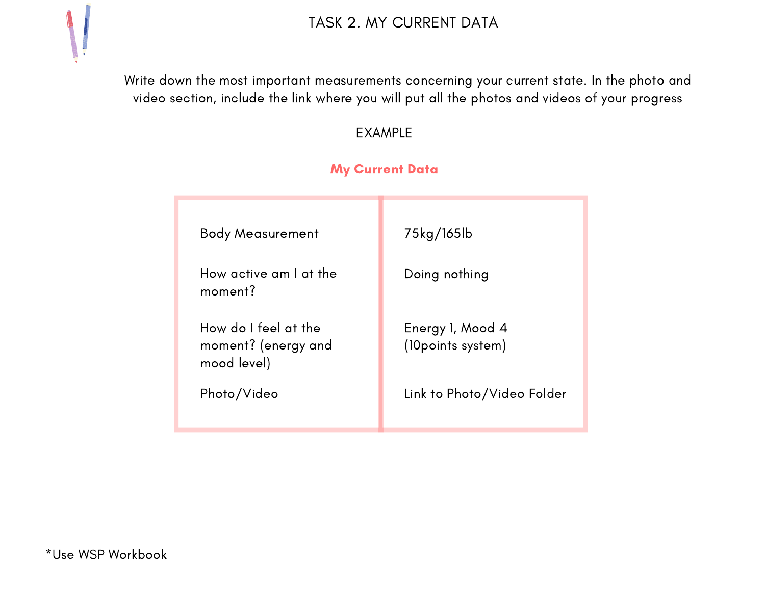

Write down the most important measurements concerning your current state. In the photo and video section, include the link where you will put all the photos and videos of your progress

EXAMPLE

### My Current Data

| <b>Body Measurement</b>                                    | 75kg/165lb                             |
|------------------------------------------------------------|----------------------------------------|
| How active am I at the<br>moment?                          | Doing nothing                          |
| How do I feel at the<br>moment? (energy and<br>mood level) | Energy 1, Mood 4<br>(10 points system) |
| Photo/Video                                                | Link to Photo/Video Folder             |
|                                                            |                                        |